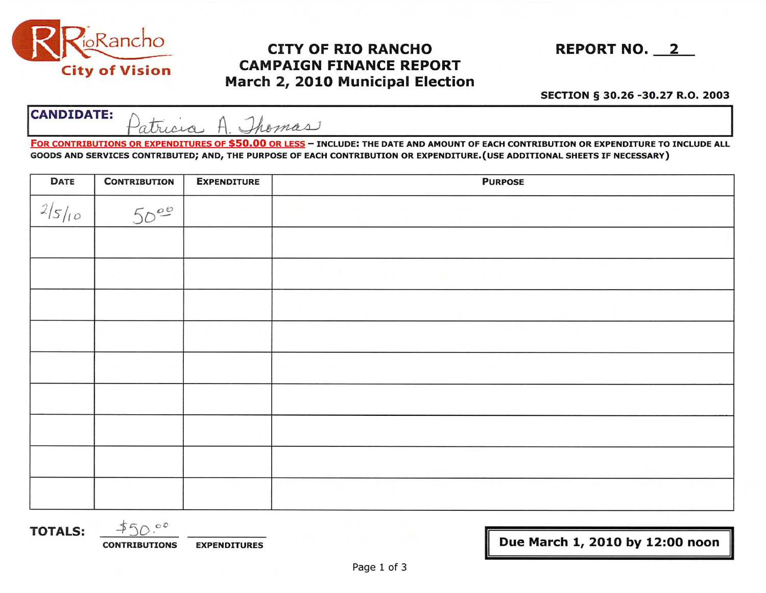

## City of Vision CAMPAIGN FINANCE REPORT March 2, 2010 Municipal Election **CAMPAIGN FINANCE I<br>arch 2, 2010 Municipa**<br>*Shomas*

SECTION § 30.26 -30.27 R.O. 2003

| <b>CANDIDATE:</b> | $\Lambda$ $\Lambda$ |  |  |
|-------------------|---------------------|--|--|
|-------------------|---------------------|--|--|

FOR CONTRIBUTIONS OR EXPENDITURES OF \$50.00 OR LESS - INCLUDE: THE DATE AND AMOUNT OF EACH CONTRIBUTION OR EXPENDITURE TO INCLUDE ALL GOODS AND SERVICES CONTRIBUTED; AND, THE PURPOSE OF EACH CONTRIBUTION OR EXPENDITURE.(USE ADDITIONAL SHEETS IF NECESSARY)

| <b>DATE</b> | <b>CONTRIBUTION</b> | <b>EXPENDITURE</b> | <b>PURPOSE</b> |  |  |  |
|-------------|---------------------|--------------------|----------------|--|--|--|
| 2/5/10      | 50 <sup>00</sup>    |                    |                |  |  |  |
|             |                     |                    |                |  |  |  |
|             |                     |                    |                |  |  |  |
|             |                     |                    |                |  |  |  |
|             |                     |                    |                |  |  |  |
|             |                     |                    |                |  |  |  |
|             |                     |                    |                |  |  |  |
|             |                     |                    |                |  |  |  |
|             |                     |                    |                |  |  |  |
|             |                     |                    |                |  |  |  |

TOTALS:  $\frac{1}{2}50.00$ 

CONTRIBUTIONS EXPENDITURES **EXPENDITURES I** Due March 1, 2010 by 12:00 noon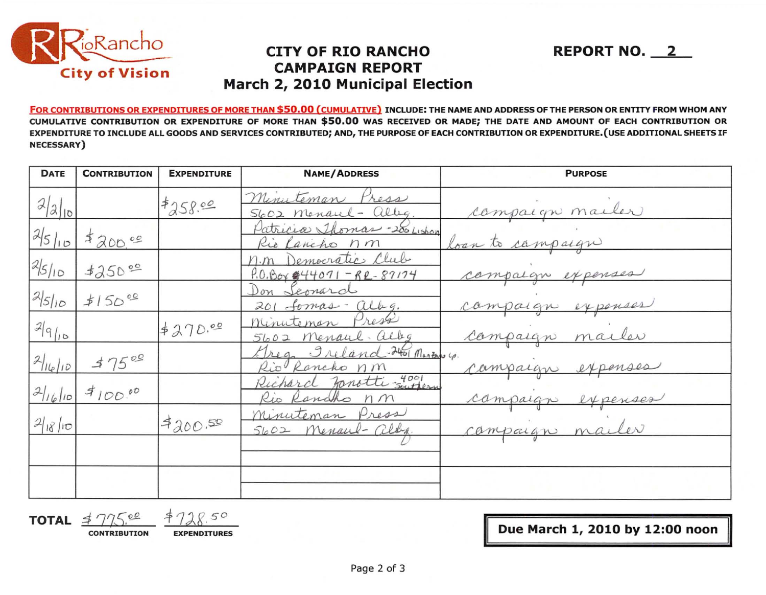

## **CITY OF RIO RANCHO CAMPAIGN REPORT** March 2, 2010 Municipal Election

FOR CONTRIBUTIONS OR EXPENDITURES OF MORE THAN \$50.00 (CUMULATIVE) INCLUDE: THE NAME AND ADDRESS OF THE PERSON OR ENTITY FROM WHOM ANY CUMULATIVE CONTRIBUTION OR EXPENDITURE OF MORE THAN \$50.00 WAS RECEIVED OR MADE; THE DATE AND AMOUNT OF EACH CONTRIBUTION OR EXPENDITURE TO INCLUDE ALL GOODS AND SERVICES CONTRIBUTED; AND, THE PURPOSE OF EACH CONTRIBUTION OR EXPENDITURE. (USE ADDITIONAL SHEETS IF **NECESSARY**)

| <b>DATE</b>     | <b>CONTRIBUTION</b> | <b>EXPENDITURE</b> | <b>NAME/ADDRESS</b>                               | <b>PURPOSE</b>    |
|-----------------|---------------------|--------------------|---------------------------------------------------|-------------------|
| 2 2 10          |                     | 7258.00            | Minuteman Press<br>S602 Menaul- alleg             | campaign marler   |
| 25/10           | 3200.00             |                    | Patricia Thomas - 200 Lisbon<br>Rio Lancho nm     | loan to campaign  |
| 25/10           | 350°                |                    | Democratic Club<br>$P.0.804$ $44071 - R2 - 87174$ | campaign expenses |
| 2510            | 150°0               |                    | Don Seonard<br>201 formas - alleg.                | campaign expenses |
| $2 q _{10}$     |                     | 4270.00            | Minuteman Press<br>5602 Menaul-alby               | campaign mailer   |
| $2 u_{e} _{10}$ | 37500               |                    | Greg Ireland-2401 Marzons 4.<br>Rio Rancho nm     | campaign expenses |
|                 | $2 16 10 $ \$100.00 |                    | Richard Jonatti zutern<br>Rio Rancho nm           | campaign expenses |
| 21810           |                     | 7200.50            | Minuteman Press<br>5602 Menaul- albe              | campaign mailer   |
|                 |                     |                    |                                                   |                   |
|                 |                     |                    |                                                   |                   |

**TOTAL** 

 $Q50$ **CONTRIBUTION** 

**EXPENDITURES** 

Due March 1, 2010 by 12:00 noon

**REPORT NO. 2**